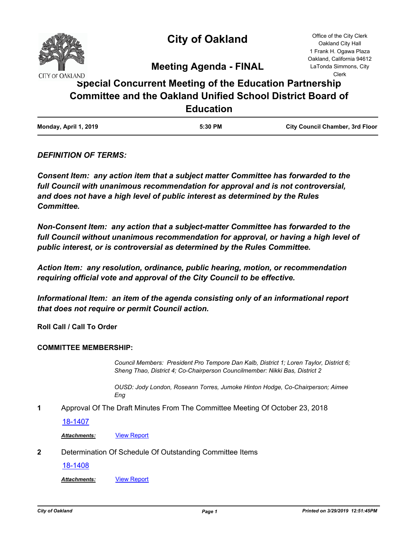

# **City of Oakland**

Office of the City Clerk Oakland City Hall 1 Frank H. Ogawa Plaza Oakland, California 94612 LaTonda Simmons, City Clerk

**Meeting Agenda - FINAL**

## **Special Concurrent Meeting of the Education Partnership Committee and the Oakland Unified School District Board of Education**

| Monday, April 1, 2019 | 5:30 PM | <b>City Council Chamber, 3rd Floor</b> |
|-----------------------|---------|----------------------------------------|

## *DEFINITION OF TERMS:*

*Consent Item: any action item that a subject matter Committee has forwarded to the full Council with unanimous recommendation for approval and is not controversial, and does not have a high level of public interest as determined by the Rules Committee.*

*Non-Consent Item: any action that a subject-matter Committee has forwarded to the*  full Council without unanimous recommendation for approval, or having a high level of *public interest, or is controversial as determined by the Rules Committee.*

*Action Item: any resolution, ordinance, public hearing, motion, or recommendation requiring official vote and approval of the City Council to be effective.*

*Informational Item: an item of the agenda consisting only of an informational report that does not require or permit Council action.*

**Roll Call / Call To Order**

#### **COMMITTEE MEMBERSHIP:**

*Council Members: President Pro Tempore Dan Kalb, District 1; Loren Taylor, District 6; Sheng Thao, District 4; Co-Chairperson Councilmember: Nikki Bas, District 2*

*OUSD: Jody London, Roseann Torres, Jumoke Hinton Hodge, Co-Chairperson; Aimee Eng*

**1** Approval Of The Draft Minutes From The Committee Meeting Of October 23, 2018

[18-1407](http://oakland.legistar.com/gateway.aspx?m=l&id=/matter.aspx?key=29833)

*Attachments:* [View Report](http://oakland.legistar.com/gateway.aspx?M=F&ID=a0de45c0-4ce8-4377-bdbb-1160a5a77aae.pdf)

**2** Determination Of Schedule Of Outstanding Committee Items

[18-1408](http://oakland.legistar.com/gateway.aspx?m=l&id=/matter.aspx?key=29834)

Attachments: **[View Report](http://oakland.legistar.com/gateway.aspx?M=F&ID=aa247ae4-d6a8-45ff-8fd8-763ef1ca08e9.pdf)**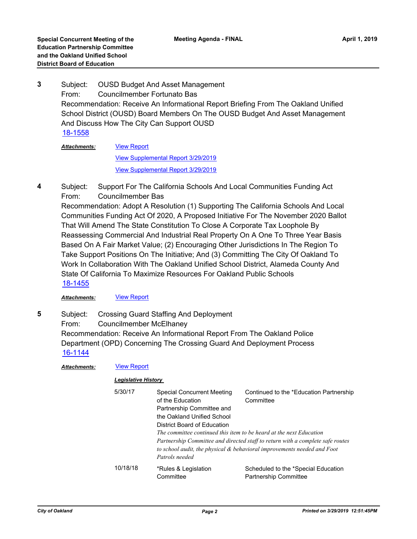Subject: OUSD Budget And Asset Management From: Councilmember Fortunato Bas Recommendation: Receive An Informational Report Briefing From The Oakland Unified School District (OUSD) Board Members On The OUSD Budget And Asset Management And Discuss How The City Can Support OUSD **3** [18-1558](http://oakland.legistar.com/gateway.aspx?m=l&id=/matter.aspx?key=29982)

| <b>Attachments:</b> | <b>View Report</b>                        |  |  |
|---------------------|-------------------------------------------|--|--|
|                     | <b>View Supplemental Report 3/29/2019</b> |  |  |
|                     | View Supplemental Report 3/29/2019        |  |  |

Subject: Support For The California Schools And Local Communities Funding Act From: Councilmember Bas **4**

Recommendation: Adopt A Resolution (1) Supporting The California Schools And Local Communities Funding Act Of 2020, A Proposed Initiative For The November 2020 Ballot That Will Amend The State Constitution To Close A Corporate Tax Loophole By Reassessing Commercial And Industrial Real Property On A One To Three Year Basis Based On A Fair Market Value; (2) Encouraging Other Jurisdictions In The Region To Take Support Positions On The Initiative; And (3) Committing The City Of Oakland To Work In Collaboration With The Oakland Unified School District, Alameda County And State Of California To Maximize Resources For Oakland Public Schools [18-1455](http://oakland.legistar.com/gateway.aspx?m=l&id=/matter.aspx?key=29879)

*Attachments:* [View Report](http://oakland.legistar.com/gateway.aspx?M=F&ID=00c5673a-ccb9-4d7d-9986-fd1bb180ea18.pdf)

Subject: Crossing Guard Staffing And Deployment From: Councilmember McElhaney Recommendation: Receive An Informational Report From The Oakland Police Department (OPD) Concerning The Crossing Guard And Deployment Process **5** [16-1144](http://oakland.legistar.com/gateway.aspx?m=l&id=/matter.aspx?key=27691)

| Attachments: | <b>View Report</b>         |                                                                                                                                                                                                                                   |                                                                                                                                                                                                                   |  |
|--------------|----------------------------|-----------------------------------------------------------------------------------------------------------------------------------------------------------------------------------------------------------------------------------|-------------------------------------------------------------------------------------------------------------------------------------------------------------------------------------------------------------------|--|
|              | <b>Legislative History</b> |                                                                                                                                                                                                                                   |                                                                                                                                                                                                                   |  |
|              | 5/30/17                    | Special Concurrent Meeting<br>of the Education<br>Partnership Committee and<br>the Oakland Unified School<br>District Board of Education<br>The committee continued this item to be heard at the next Education<br>Patrols needed | Continued to the *Education Partnership<br>Committee<br>Partnership Committee and directed staff to return with a complete safe routes<br>to school audit, the physical & behavioral improvements needed and Foot |  |
|              | 10/18/18                   | *Rules & Legislation<br>Committee                                                                                                                                                                                                 | Scheduled to the *Special Education<br><b>Partnership Committee</b>                                                                                                                                               |  |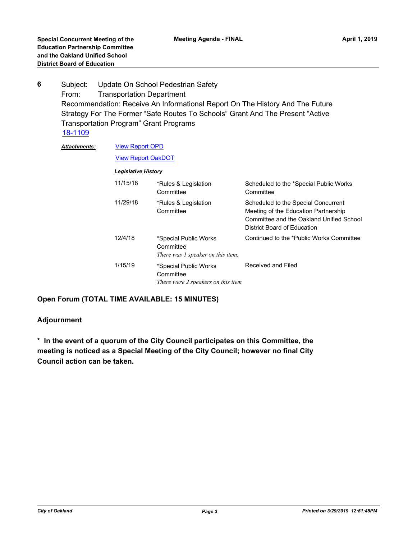Subject: Update On School Pedestrian Safety From: Transportation Department Recommendation: Receive An Informational Report On The History And The Future Strategy For The Former "Safe Routes To Schools" Grant And The Present "Active Transportation Program" Grant Programs **6** [18-1109](http://oakland.legistar.com/gateway.aspx?m=l&id=/matter.aspx?key=29537)

| <b>Attachments:</b> | <b>View Report OPD</b><br><b>View Report OakDOT</b> |                                                                          |                                                                                                                                                        |  |  |
|---------------------|-----------------------------------------------------|--------------------------------------------------------------------------|--------------------------------------------------------------------------------------------------------------------------------------------------------|--|--|
|                     | <b>Legislative History</b>                          |                                                                          |                                                                                                                                                        |  |  |
|                     | 11/15/18                                            | *Rules & Legislation<br>Committee                                        | Scheduled to the *Special Public Works<br>Committee                                                                                                    |  |  |
|                     | 11/29/18                                            | *Rules & Legislation<br>Committee                                        | Scheduled to the Special Concurrent<br>Meeting of the Education Partnership<br>Committee and the Oakland Unified School<br>District Board of Education |  |  |
|                     | 12/4/18                                             | *Special Public Works<br>Committee<br>There was 1 speaker on this item.  | Continued to the *Public Works Committee                                                                                                               |  |  |
|                     | 1/15/19                                             | *Special Public Works<br>Committee<br>There were 2 speakers on this item | Received and Filed                                                                                                                                     |  |  |

**Open Forum (TOTAL TIME AVAILABLE: 15 MINUTES)**

### **Adjournment**

**\* In the event of a quorum of the City Council participates on this Committee, the meeting is noticed as a Special Meeting of the City Council; however no final City Council action can be taken.**